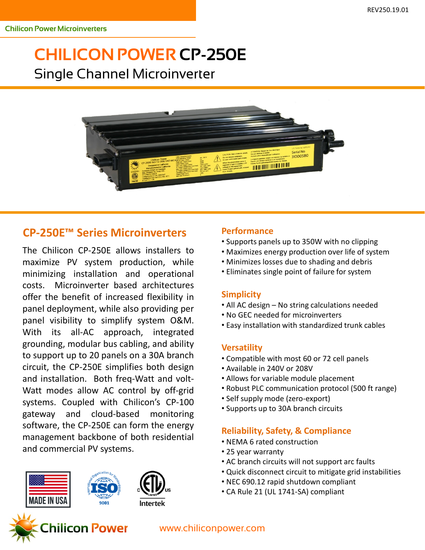# **CHILICON POWER CP-250E** Single Channel Microinverter



## **CP-250E™ Series Microinverters**

The Chilicon CP-250E allows installers to maximize PV system production, while minimizing installation and operational costs. Microinverter based architectures offer the benefit of increased flexibility in panel deployment, while also providing per panel visibility to simplify system O&M. With its all-AC approach, integrated grounding, modular bus cabling, and ability to support up to 20 panels on a 30A branch circuit, the CP-250E simplifies both design and installation. Both freq-Watt and volt-Watt modes allow AC control by off-grid systems. Coupled with Chilicon's CP-100 gateway and cloud-based monitoring software, the CP-250E can form the energy management backbone of both residential and commercial PV systems.



#### **Performance**

- Supports panels up to 350W with no clipping
- Maximizes energy production over life of system
- Minimizes losses due to shading and debris
- Eliminates single point of failure for system

#### **Simplicity**

- All AC design No string calculations needed
- No GEC needed for microinverters
- Easy installation with standardized trunk cables

#### **Versatility**

- Compatible with most 60 or 72 cell panels
- Available in 240V or 208V
- Allows for variable module placement
- Robust PLC communication protocol (500 ft range)
- Self supply mode (zero-export)
- Supports up to 30A branch circuits

### **Reliability, Safety, & Compliance**

- NEMA 6 rated construction
- 25 year warranty
- AC branch circuits will not support arc faults
- Quick disconnect circuit to mitigate grid instabilities
- NEC 690.12 rapid shutdown compliant
- CA Rule 21 (UL 1741-SA) compliant